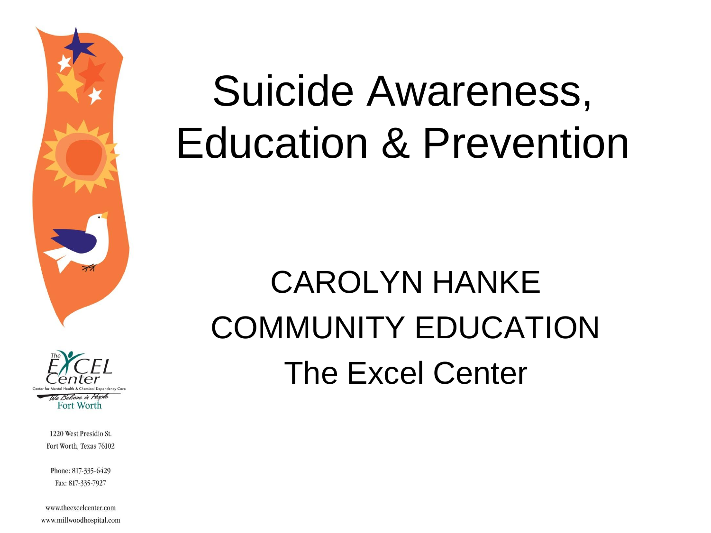



Phone: 817-335-6429 Fax: 817-335-7927

www.theexcelcenter.com www.millwoodhospital.com

## Suicide Awareness, Education & Prevention

### CAROLYN HANKE COMMUNITY EDUCATION The Excel Center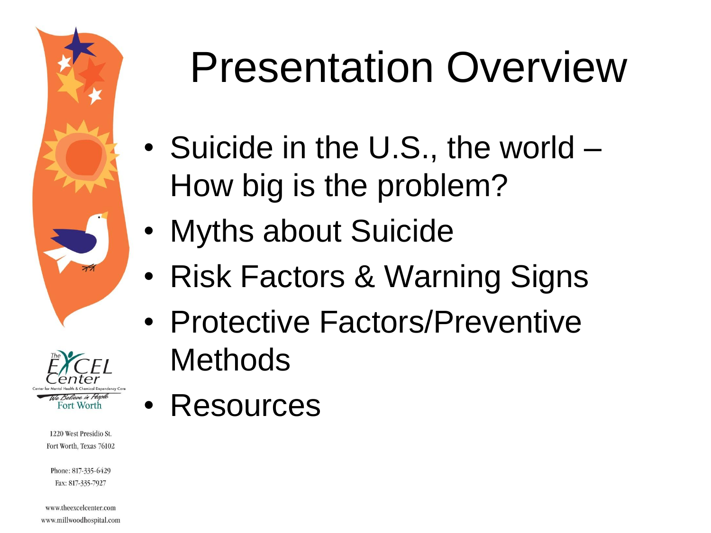



Phone: 817-335-6429 Fax: 817-335-7927

www.theexcelcenter.com www.millwoodhospital.com

## Presentation Overview

- Suicide in the U.S., the world How big is the problem?
- Myths about Suicide
- Risk Factors & Warning Signs
- Protective Factors/Preventive Methods
- Resources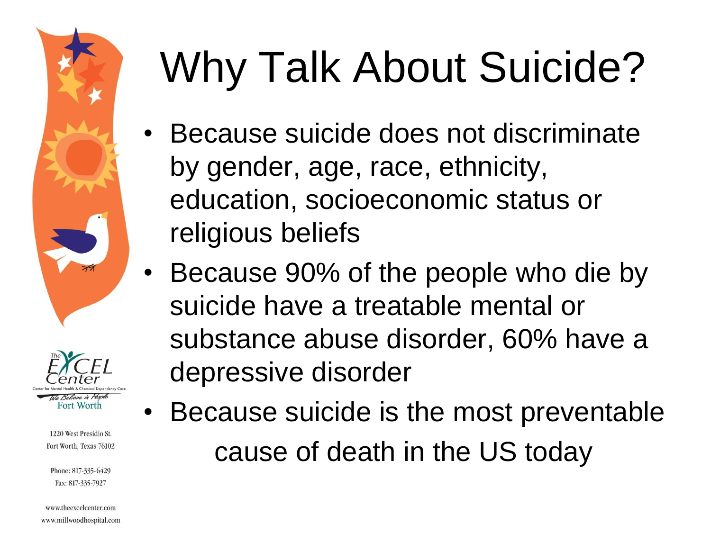



Phone: 817-335-6429 Fax: 817-335-7927

www.theexcelcenter.com www.millwoodhospital.com

# Why Talk About Suicide?

- Because suicide does not discriminate by gender, age, race, ethnicity, education, socioeconomic status or religious beliefs
- Because 90% of the people who die by suicide have a treatable mental or substance abuse disorder, 60% have a depressive disorder
	- Because suicide is the most preventable cause of death in the US today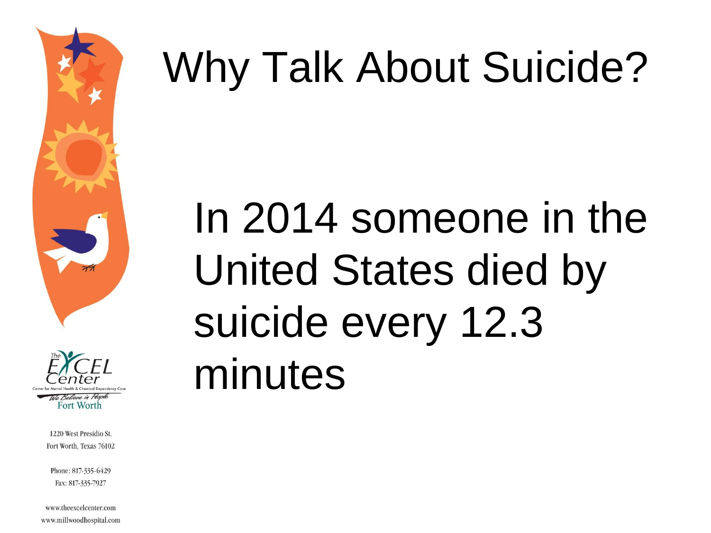



Phone: 817-335-6429 Fax: 817-335-7927

www.theexcelcenter.com www.millwoodhospital.com

# Why Talk About Suicide?

# In 2014 someone in the United States died by suicide every 12.3 minutes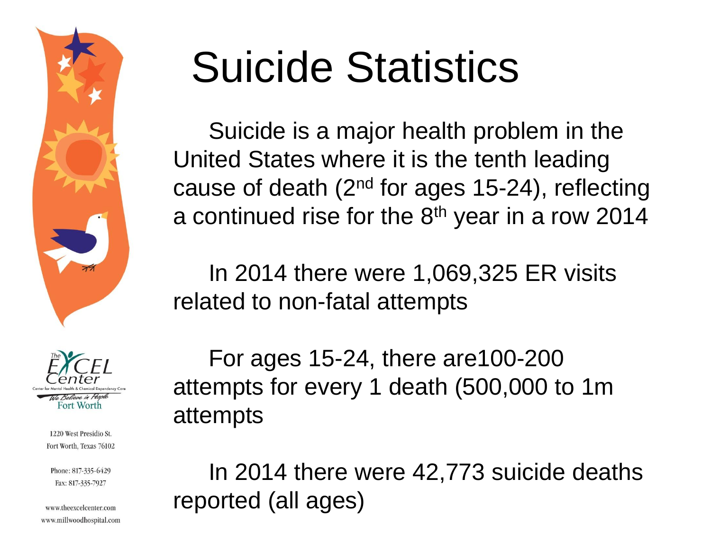



Phone: 817-335-6429 Fax: 817-335-7927

www.theexcelcenter.com www.millwoodhospital.com

## Suicide Statistics

Suicide is a major health problem in the United States where it is the tenth leading cause of death (2nd for ages 15-24), reflecting a continued rise for the 8<sup>th</sup> year in a row 2014

In 2014 there were 1,069,325 ER visits related to non-fatal attempts

For ages 15-24, there are100-200 attempts for every 1 death (500,000 to 1m attempts

In 2014 there were 42,773 suicide deaths reported (all ages)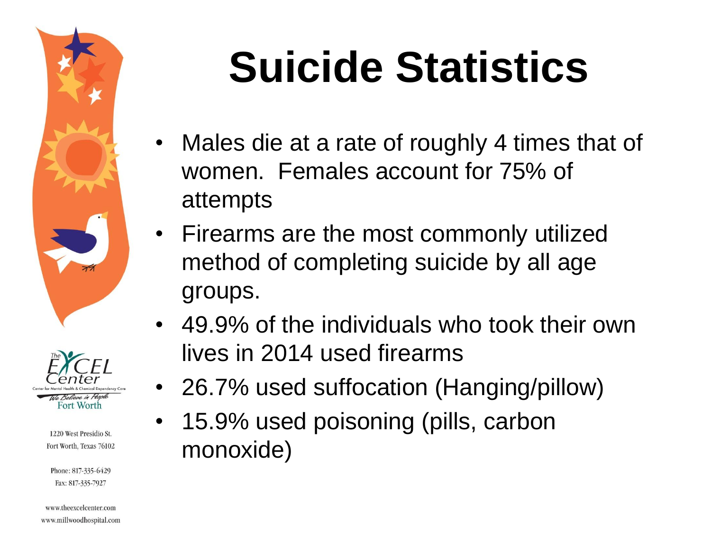



Phone: 817-335-6429 Fax: 817-335-7927

www.theexcelcenter.com www.millwoodhospital.com

# **Suicide Statistics**

- Males die at a rate of roughly 4 times that of women. Females account for 75% of attempts
- Firearms are the most commonly utilized method of completing suicide by all age groups.
- 49.9% of the individuals who took their own lives in 2014 used firearms
- 26.7% used suffocation (Hanging/pillow)
	- 15.9% used poisoning (pills, carbon monoxide)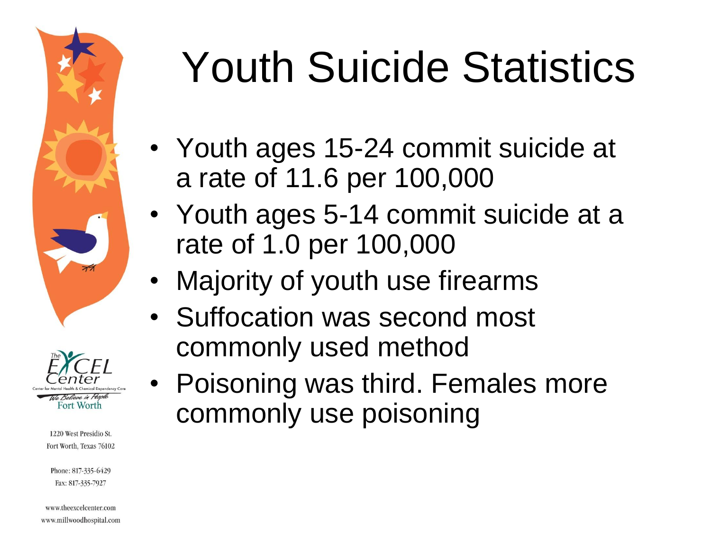



Phone: 817-335-6429 Fax: 817-335-7927

www.theexcelcenter.com www.millwoodhospital.com

# Youth Suicide Statistics

- Youth ages 15-24 commit suicide at a rate of 11.6 per 100,000
- Youth ages 5-14 commit suicide at a rate of 1.0 per 100,000
- Majority of youth use firearms
- Suffocation was second most commonly used method
- Poisoning was third. Females more commonly use poisoning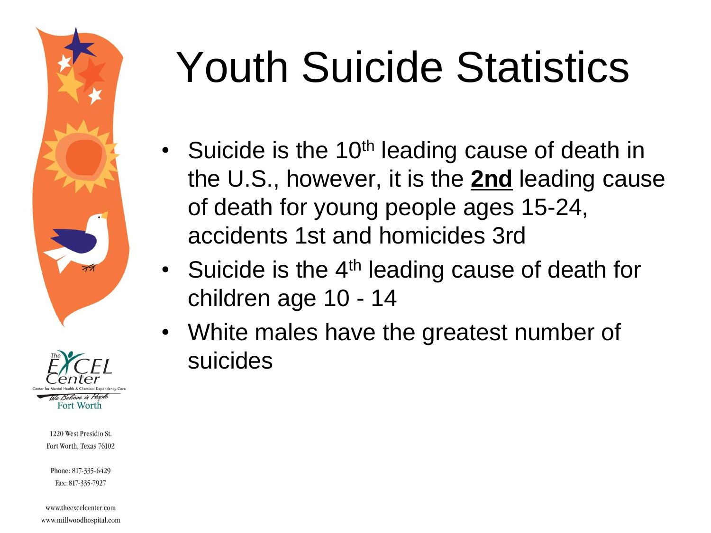



Phone: 817-335-6429 Fax: 817-335-7927

www.theexcelcenter.com www.millwoodhospital.com

# Youth Suicide Statistics

- Suicide is the 10<sup>th</sup> leading cause of death in the U.S., however, it is the **2nd** leading cause of death for young people ages 15-24, accidents 1st and homicides 3rd
- Suicide is the 4<sup>th</sup> leading cause of death for children age 10 - 14
- White males have the greatest number of suicides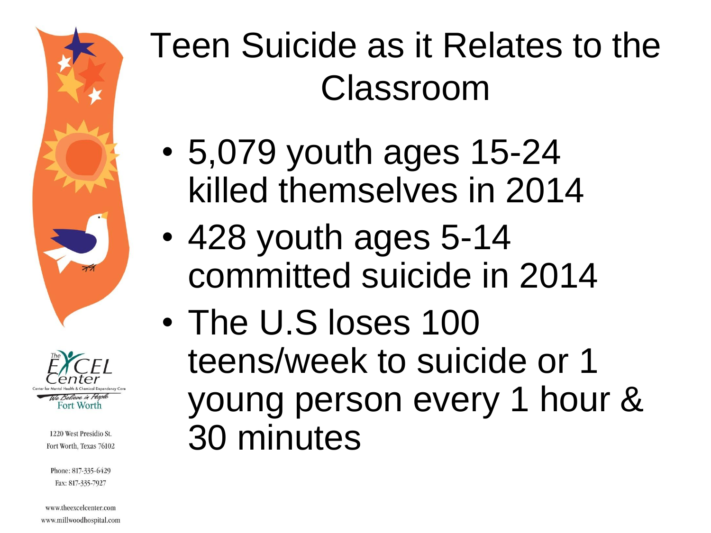



Phone: 817-335-6429 Fax: 817-335-7927

www.theexcelcenter.com www.millwoodhospital.com

### Teen Suicide as it Relates to the Classroom

- 5,079 youth ages 15-24 killed themselves in 2014
- 428 youth ages 5-14 committed suicide in 2014
- The U.S loses 100 teens/week to suicide or 1 young person every 1 hour & 30 minutes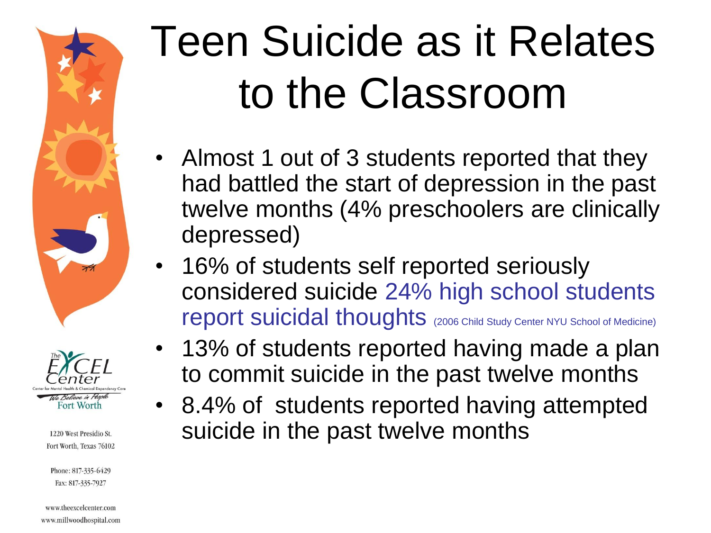



Phone: 817-335-6429 Fax: 817-335-7927

www.theexcelcenter.com www.millwoodhospital.com

# Teen Suicide as it Relates to the Classroom

- Almost 1 out of 3 students reported that they had battled the start of depression in the past twelve months (4% preschoolers are clinically depressed)
- 16% of students self reported seriously considered suicide 24% high school students report suicidal thoughts (2006 Child Study Center NYU School of Medicine)
	- 13% of students reported having made a plan to commit suicide in the past twelve months
- 8.4% of students reported having attempted suicide in the past twelve months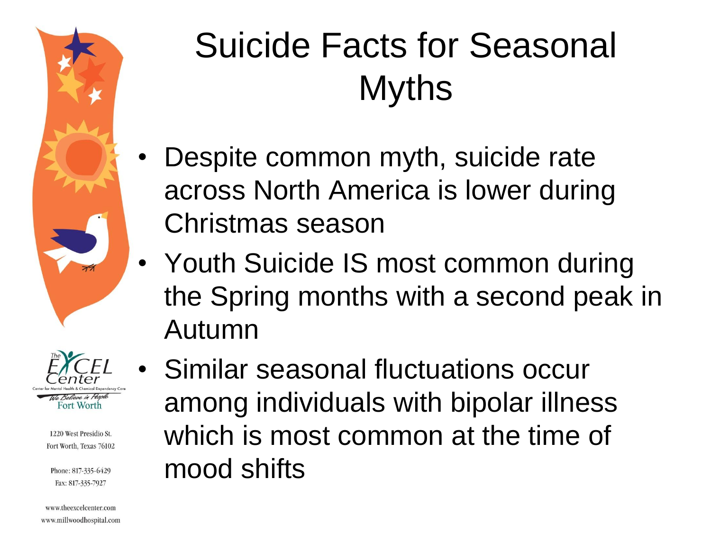



Phone: 817-335-6429 Fax: 817-335-7927

www.theexcelcenter.com www.millwoodhospital.com

## Suicide Facts for Seasonal Myths

- Despite common myth, suicide rate across North America is lower during Christmas season
- Youth Suicide IS most common during the Spring months with a second peak in Autumn
- Similar seasonal fluctuations occur among individuals with bipolar illness which is most common at the time of mood shifts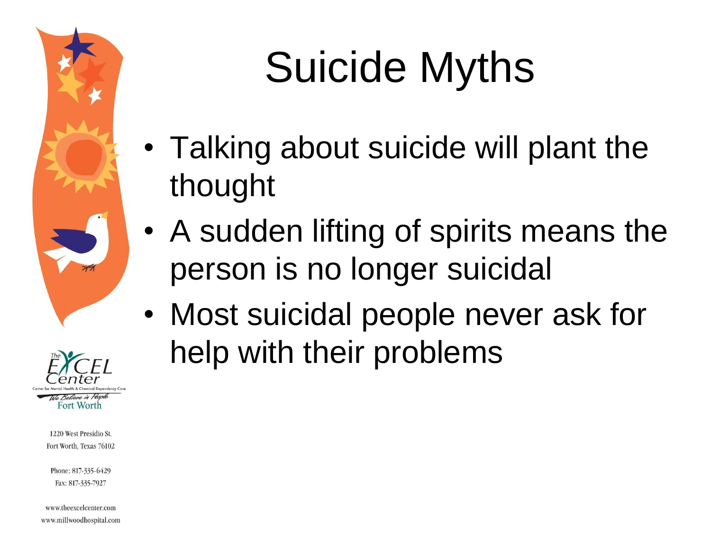



Phone: 817-335-6429 Fax: 817-335-7927

www.theexcelcenter.com www.millwoodhospital.com

# Suicide Myths

- Talking about suicide will plant the thought
- A sudden lifting of spirits means the person is no longer suicidal
- Most suicidal people never ask for help with their problems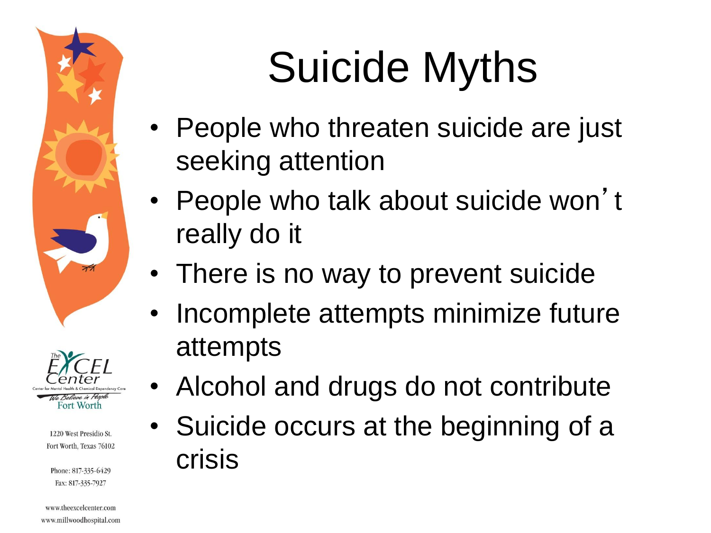



Phone: 817-335-6429 Fax: 817-335-7927

#### www.theexcelcenter.com www.millwoodhospital.com

# Suicide Myths

- People who threaten suicide are just seeking attention
- People who talk about suicide won't really do it
- There is no way to prevent suicide
- Incomplete attempts minimize future attempts
	- Alcohol and drugs do not contribute
- Suicide occurs at the beginning of a crisis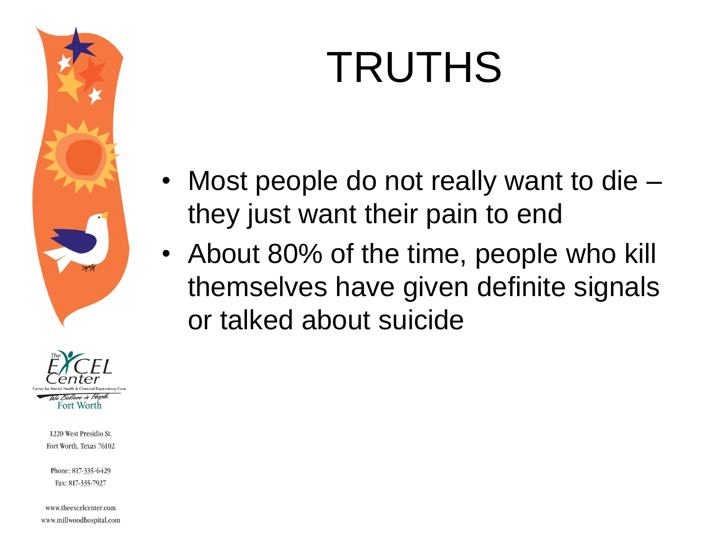#### We Believe in People Fort Worth

1220 West Presidio St. Fort Worth, Texas 76102

Phone: 817-335-6429 Fax: 817-335-7927

www.theexcelcenter.com www.millwoodhospital.com

# TRUTHS

- Most people do not really want to die they just want their pain to end
- About 80% of the time, people who kill themselves have given definite signals or talked about suicide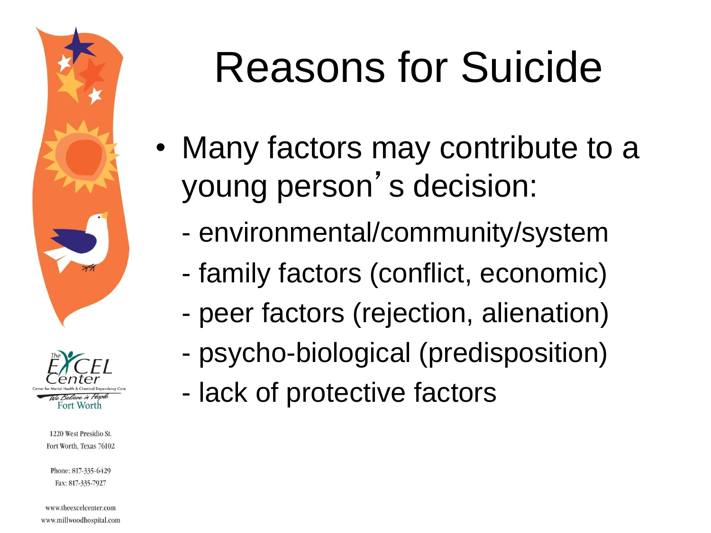



Phone: 817-335-6429 Fax: 817-335-7927

www.theexcelcenter.com www.millwoodhospital.com

## Reasons for Suicide

- Many factors may contribute to a young person 's decision:
	- environmental/community/system
	- family factors (conflict, economic)
	- peer factors (rejection, alienation)
	- psycho-biological (predisposition)
	- lack of protective factors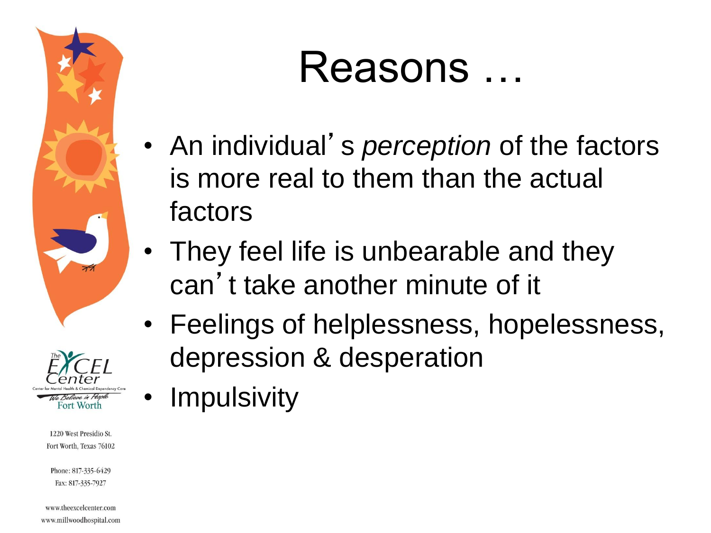



Phone: 817-335-6429 Fax: 817-335-7927

www.theexcelcenter.com www.millwoodhospital.com

## Reasons …

- An individual' s *perception* of the factors is more real to them than the actual factors
- They feel life is unbearable and they can 't take another minute of it
- Feelings of helplessness, hopelessness, depression & desperation
- **Impulsivity**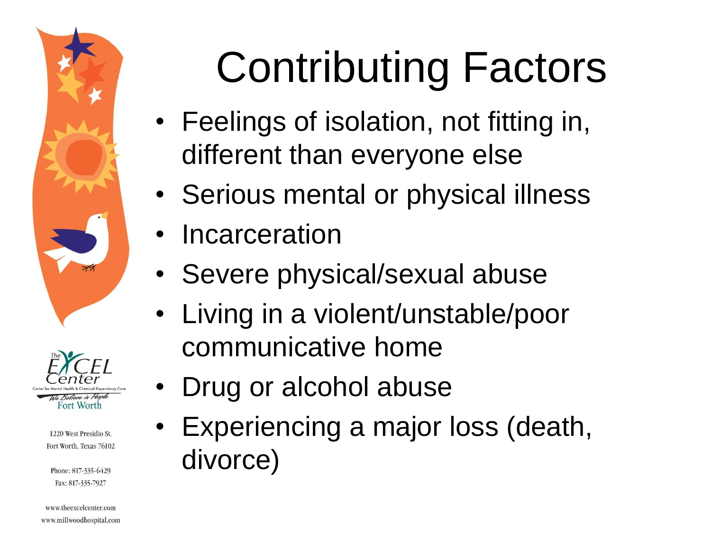



Phone: 817-335-6429 Fax: 817-335-7927

#### www.theexcelcenter.com www.millwoodhospital.com

# Contributing Factors

- Feelings of isolation, not fitting in, different than everyone else
- Serious mental or physical illness
- **Incarceration**
- Severe physical/sexual abuse
- Living in a violent/unstable/poor communicative home
- Drug or alcohol abuse
	- Experiencing a major loss (death, divorce)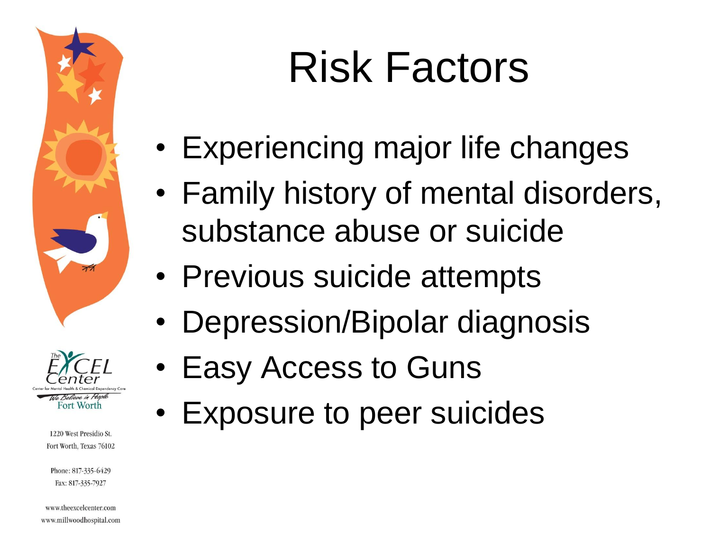



Phone: 817-335-6429 Fax: 817-335-7927

www.theexcelcenter.com www.millwoodhospital.com

## Risk Factors

- Experiencing major life changes
- Family history of mental disorders, substance abuse or suicide
- Previous suicide attempts
- Depression/Bipolar diagnosis
- Easy Access to Guns
- Exposure to peer suicides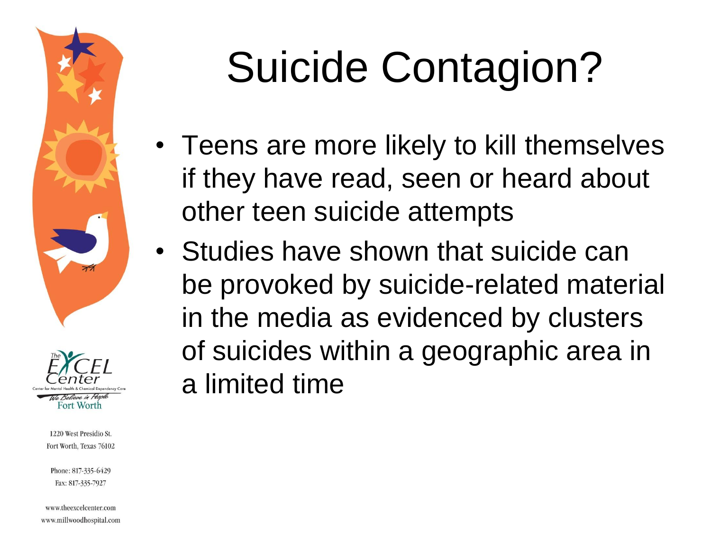



Phone: 817-335-6429 Fax: 817-335-7927

www.theexcelcenter.com www.millwoodhospital.com

# Suicide Contagion?

- Teens are more likely to kill themselves if they have read, seen or heard about other teen suicide attempts
- Studies have shown that suicide can be provoked by suicide-related material in the media as evidenced by clusters of suicides within a geographic area in a limited time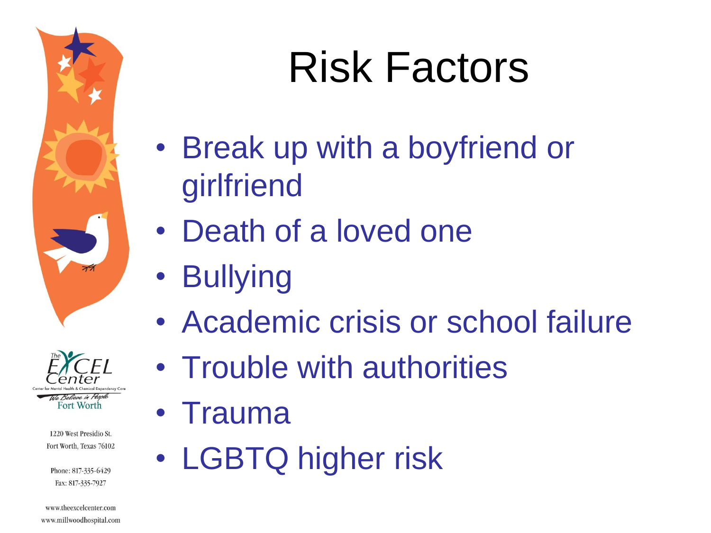



Phone: 817-335-6429 Fax: 817-335-7927

www.theexcelcenter.com www.millwoodhospital.com

# Risk Factors

- Break up with a boyfriend or girlfriend
- Death of a loved one
- Bullying
- Academic crisis or school failure
- Trouble with authorities
- Trauma
- LGBTQ higher risk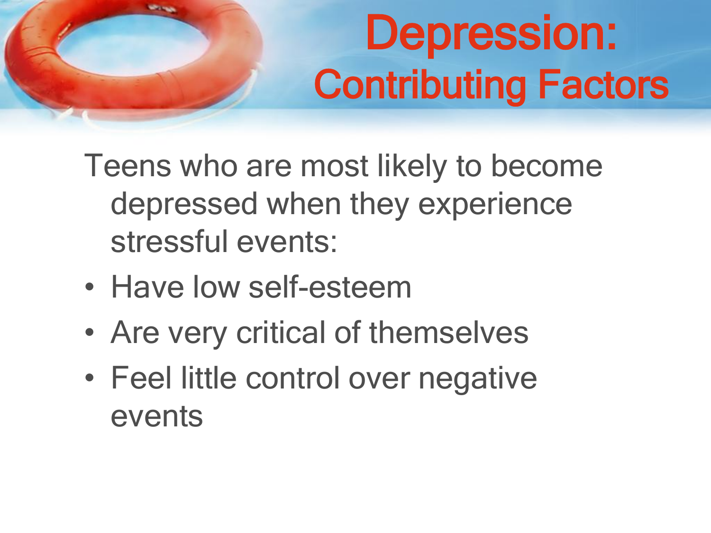# Depression: Contributing Factors

Teens who are most likely to become depressed when they experience stressful events:

- Have low self-esteem
- Are very critical of themselves
- Feel little control over negative events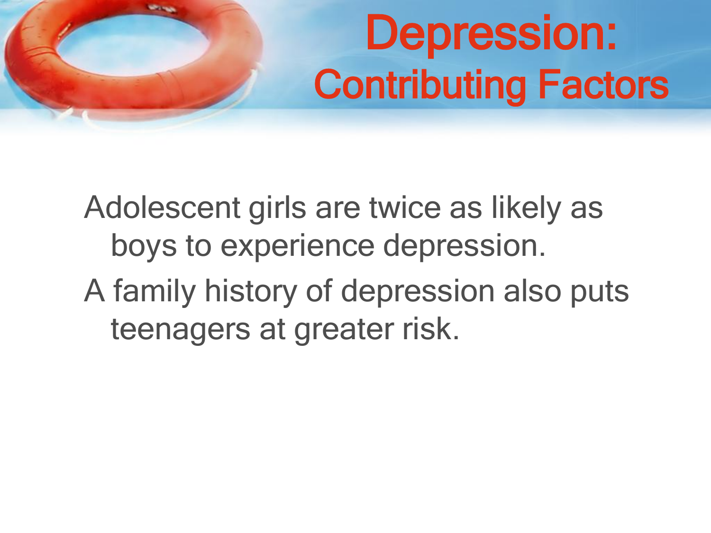# Depression: Contributing Factors

Adolescent girls are twice as likely as boys to experience depression. A family history of depression also puts teenagers at greater risk.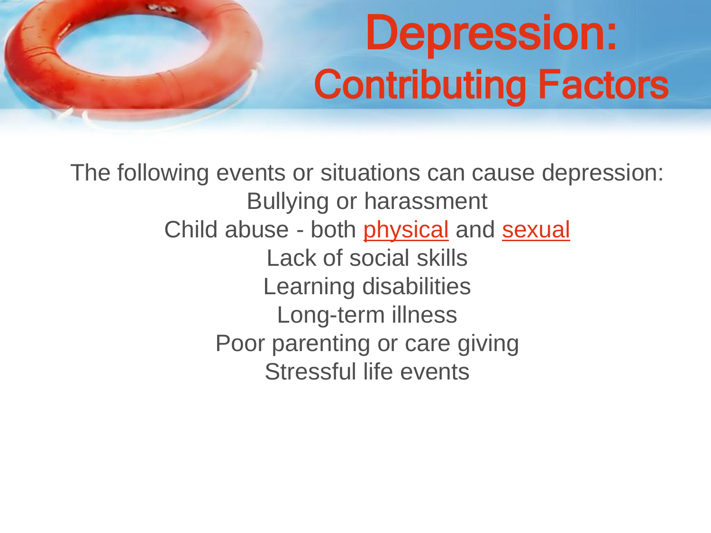## Depression: Contributing Factors

The following events or situations can cause depression: Bullying or harassment Child abuse - both [physical](http://health.nytimes.com/health/guides/disease/child-abuse-physical/overview.html) and [sexual](http://health.nytimes.com/health/guides/disease/child-abuse-sexual/overview.html) Lack of social skills Learning disabilities Long-term illness Poor parenting or care giving Stressful life events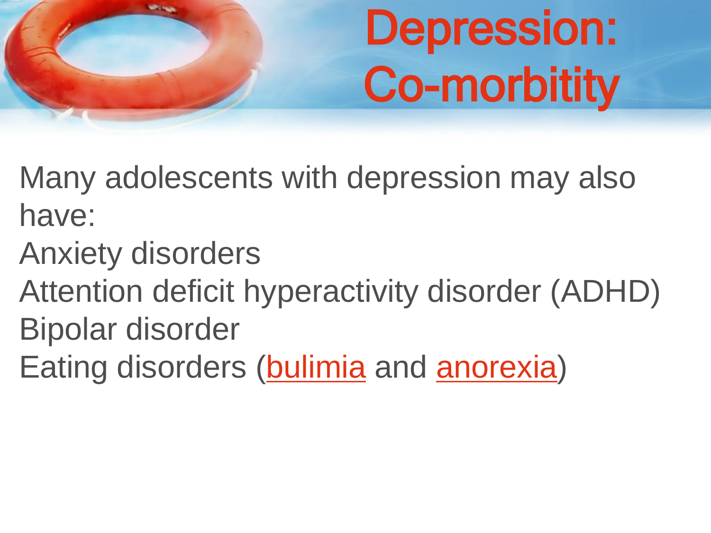# Depression: Co-morbitity

Many adolescents with depression may also have:

- Anxiety disorders
- Attention deficit hyperactivity disorder (ADHD)
- Bipolar disorder
- Eating disorders ([bulimia](http://health.nytimes.com/health/guides/disease/bulimia/overview.html) and [anorexia](http://health.nytimes.com/health/guides/disease/anorexia-nervosa/overview.html))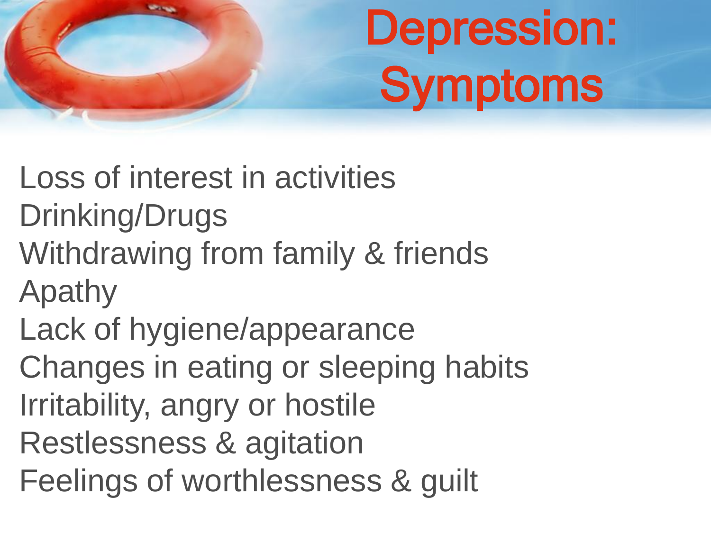# Depression: **Symptoms**

Loss of interest in activities Drinking/Drugs Withdrawing from family & friends Apathy Lack of hygiene/appearance Changes in eating or sleeping habits Irritability, angry or hostile Restlessness & agitation Feelings of worthlessness & guilt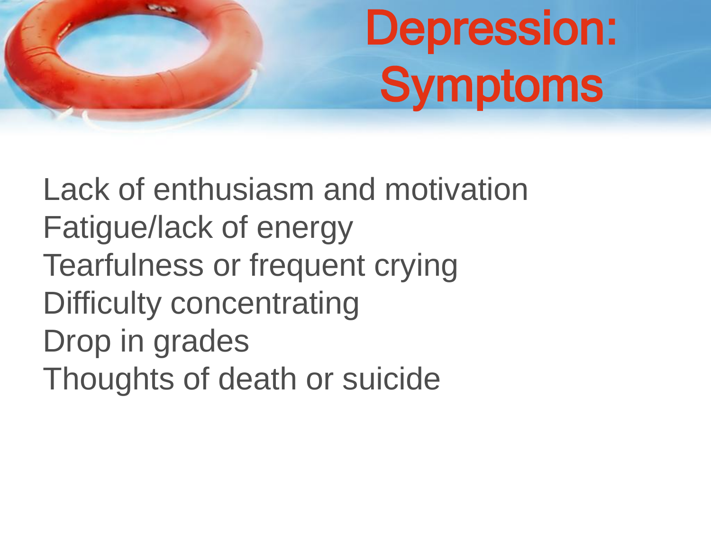# Depression: **Symptoms**

Lack of enthusiasm and motivation Fatigue/lack of energy Tearfulness or frequent crying Difficulty concentrating Drop in grades Thoughts of death or suicide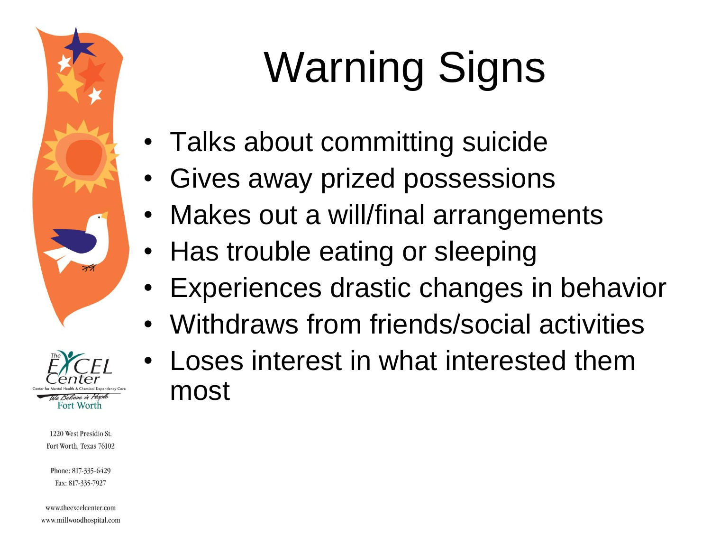



Phone: 817-335-6429 Fax: 817-335-7927

www.theexcelcenter.com www.millwoodhospital.com

# Warning Signs

- Talks about committing suicide
- Gives away prized possessions
- Makes out a will/final arrangements
- Has trouble eating or sleeping
- Experiences drastic changes in behavior
- Withdraws from friends/social activities
- Loses interest in what interested them most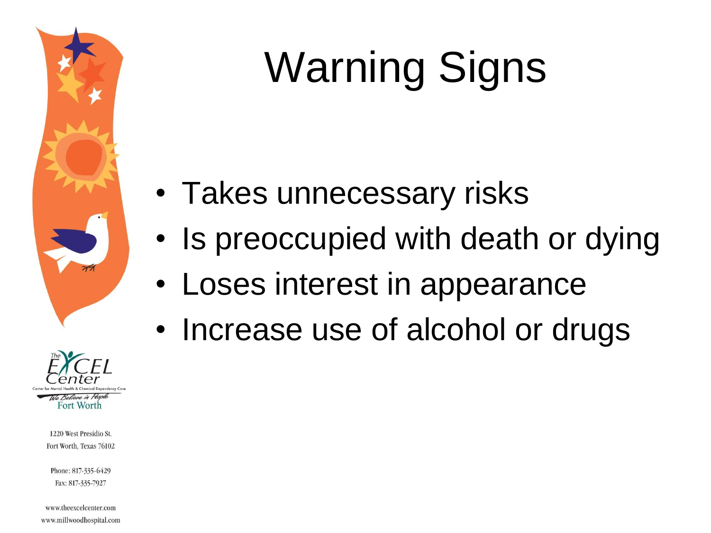

# Warning Signs

- Takes unnecessary risks
- Is preoccupied with death or dying
- Loses interest in appearance
- Increase use of alcohol or drugs



1220 West Presidio St. Fort Worth, Texas 76102

Phone: 817-335-6429 Fax: 817-335-7927

www.theexcelcenter.com www.millwoodhospital.com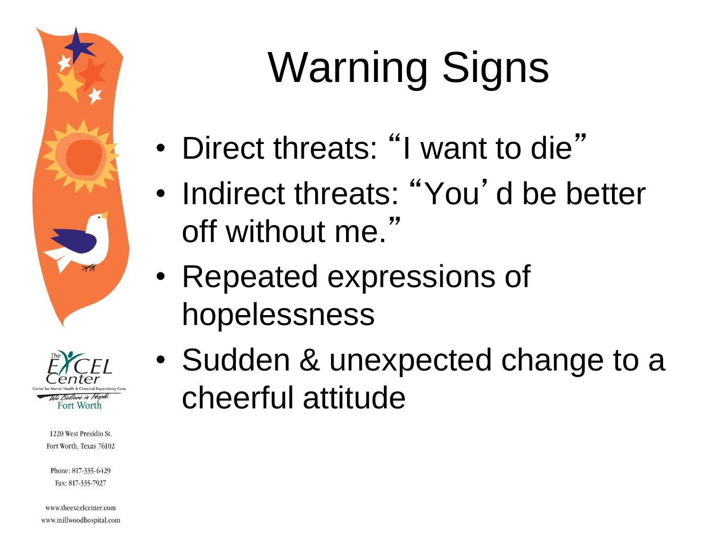



Phone: 817-335-6429 Fax: 817-335-7927

www.theexcelcenter.com www.millwoodhospital.com

# Warning Signs

- Direct threats: "I want to die"
- Indirect threats: "You'd be better off without me."
- Repeated expressions of hopelessness
- Sudden & unexpected change to a cheerful attitude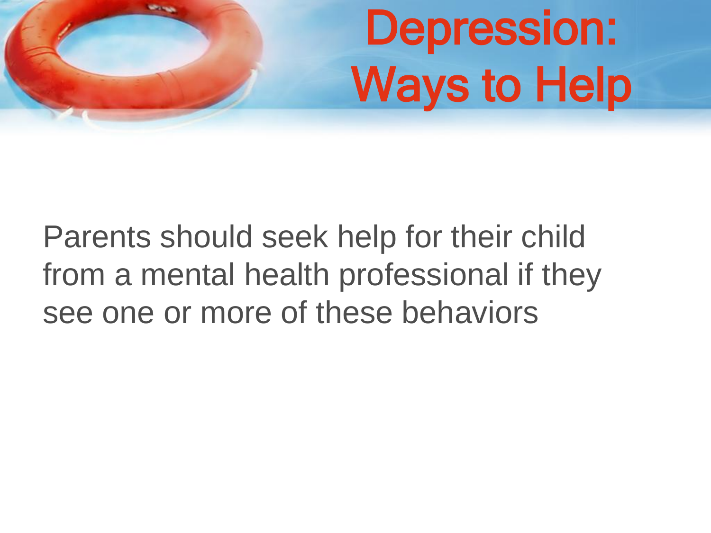# Depression: Ways to Help

Parents should seek help for their child from a mental health professional if they see one or more of these behaviors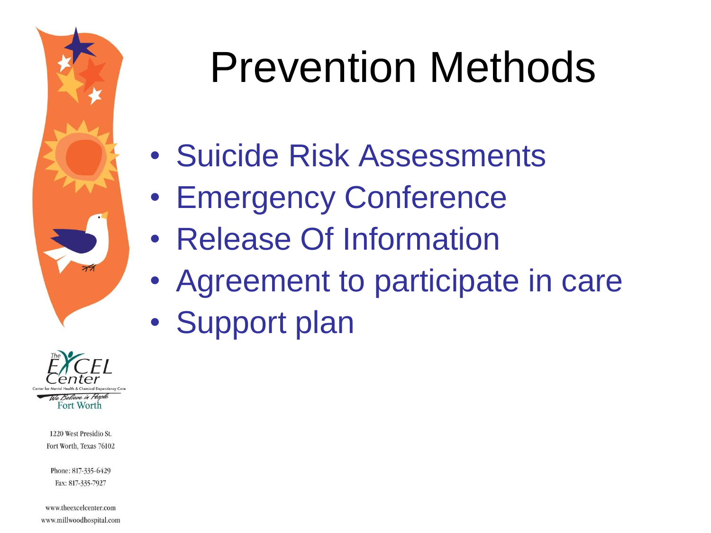

# Prevention Methods

- Suicide Risk Assessments
- Emergency Conference
- Release Of Information
- Agreement to participate in care
- Support plan



1220 West Presidio St. Fort Worth, Texas 76102

Phone: 817-335-6429 Fax: 817-335-7927

www.theexcelcenter.com www.millwoodhospital.com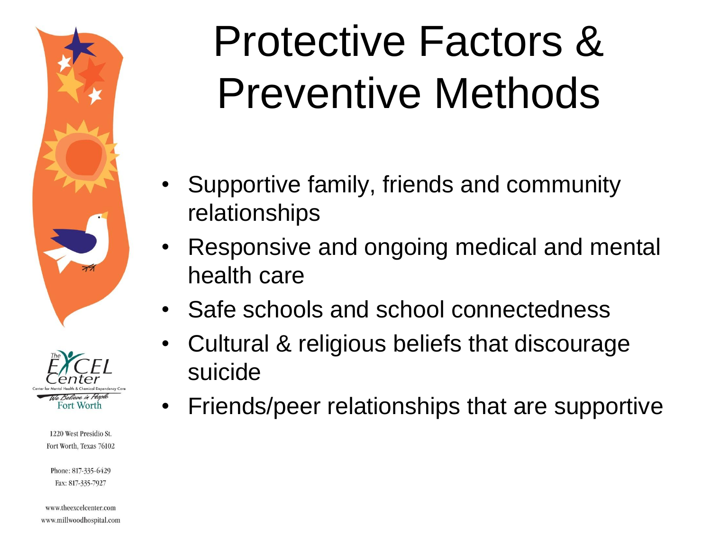



Phone: 817-335-6429 Fax: 817-335-7927

www.theexcelcenter.com www.millwoodhospital.com

# Protective Factors & Preventive Methods

- Supportive family, friends and community relationships
- Responsive and ongoing medical and mental health care
- Safe schools and school connectedness
- Cultural & religious beliefs that discourage suicide
- Friends/peer relationships that are supportive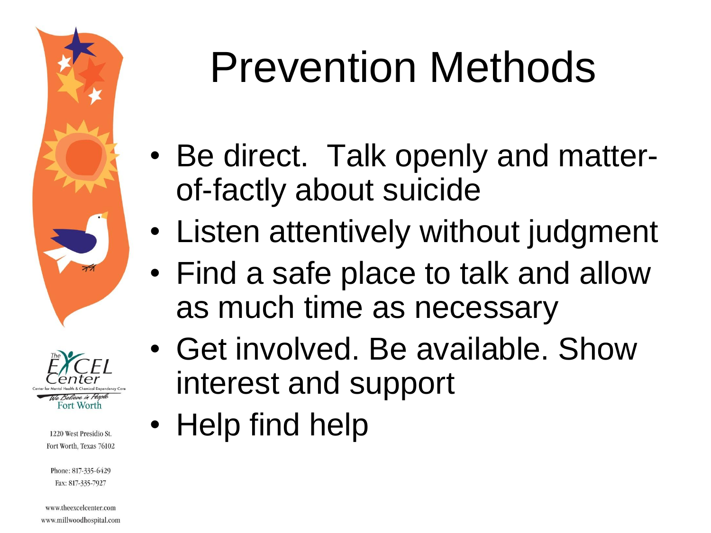



Phone: 817-335-6429 Fax: 817-335-7927

www.theexcelcenter.com www.millwoodhospital.com

# Prevention Methods

- Be direct. Talk openly and matterof-factly about suicide
- Listen attentively without judgment
- Find a safe place to talk and allow as much time as necessary
- Get involved. Be available. Show interest and support
- Help find help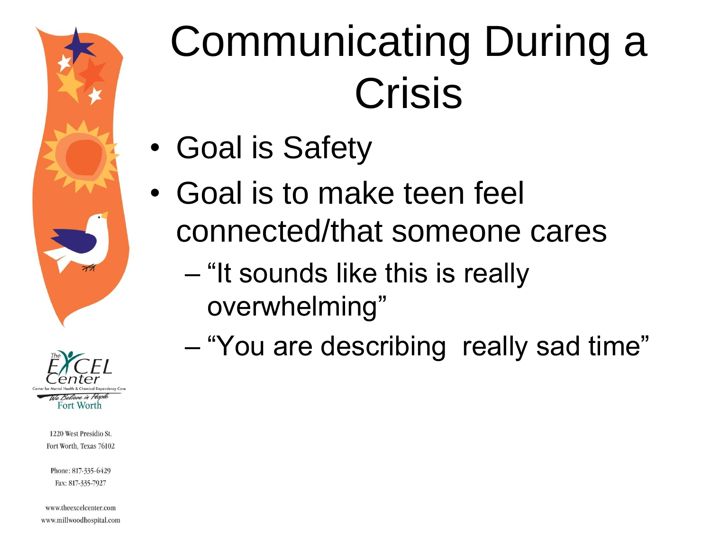



Phone: 817-335-6429 Fax: 817-335-7927

www.theexcelcenter.com www.millwoodhospital.com

# Communicating During a Crisis

- Goal is Safety
- Goal is to make teen feel connected/that someone cares
	- "It sounds like this is really overwhelming"
	- "You are describing really sad time"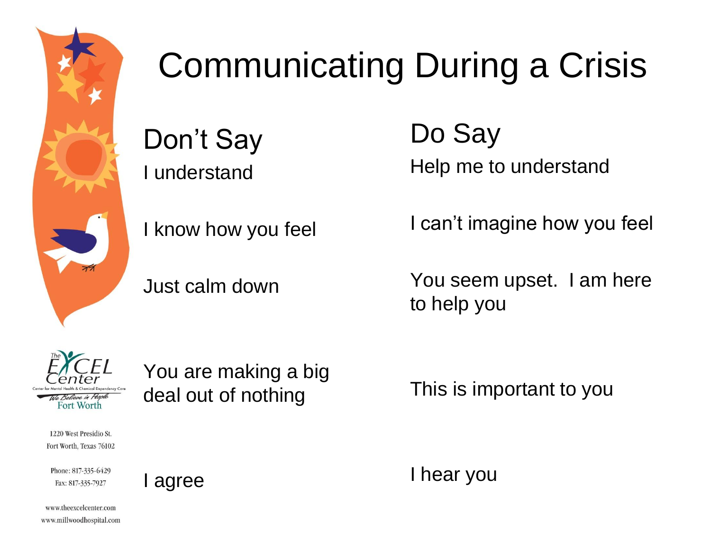

### Communicating During a Crisis

Don't Say I understand

I know how you feel

Just calm down

Do Say Help me to understand

I can't imagine how you feel

You seem upset. I am here to help you



1220 West Presidio St. Fort Worth, Texas 76102

Phone: 817-335-6429 Fax: 817-335-7927

I agree

You are making a big deal out of nothing

This is important to you

I hear you

www.theexcelcenter.com www.millwoodhospital.com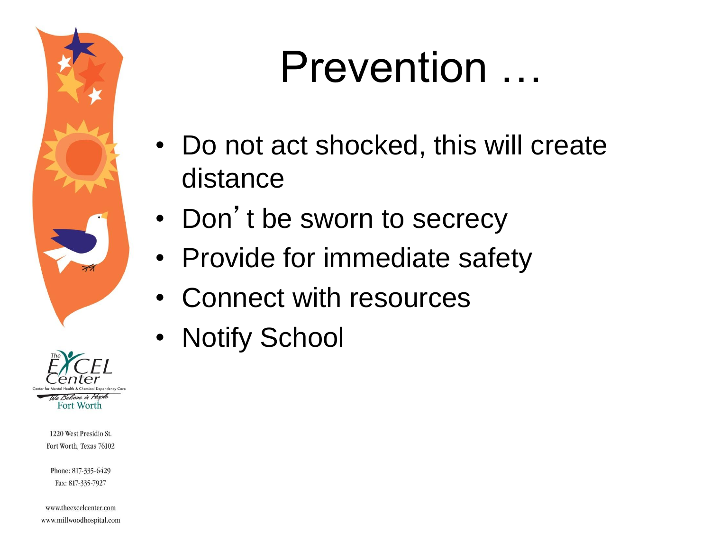



Phone: 817-335-6429 Fax: 817-335-7927

www.theexcelcenter.com www.millwoodhospital.com

## Prevention …

- Do not act shocked, this will create distance
- Don't be sworn to secrecy
- Provide for immediate safety
- Connect with resources
- Notify School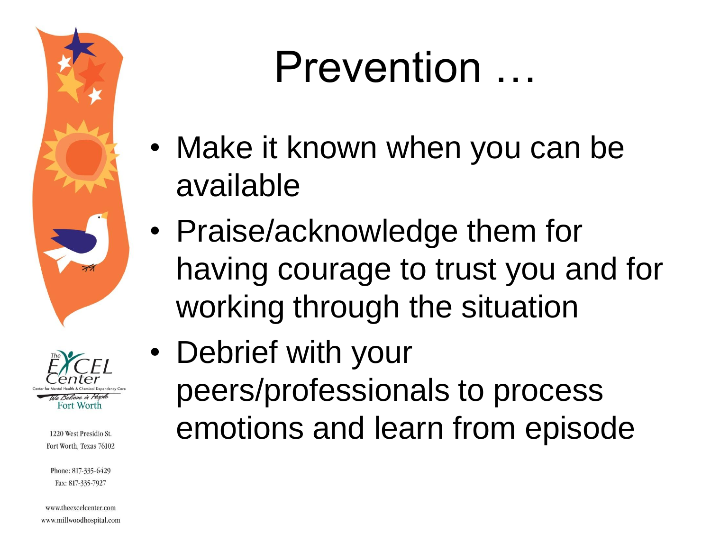



Phone: 817-335-6429 Fax: 817-335-7927

www.theexcelcenter.com www.millwoodhospital.com

## Prevention …

- Make it known when you can be available
- Praise/acknowledge them for having courage to trust you and for working through the situation
- Debrief with your peers/professionals to process emotions and learn from episode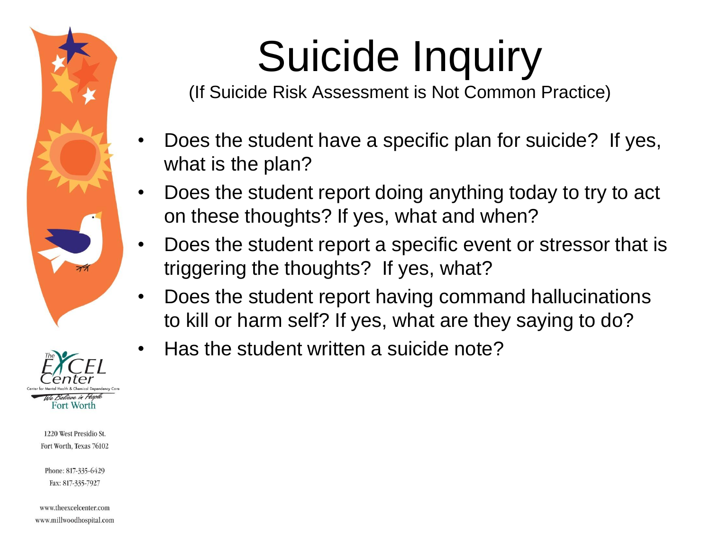

#### to. Believe in Peopl Fort Worth

1220 West Presidio St. Fort Worth, Texas 76102

Phone: 817-335-6429 Fax: 817-335-7927

www.theexcelcenter.com www.millwoodhospital.com

# Suicide Inquiry

(If Suicide Risk Assessment is Not Common Practice)

- Does the student have a specific plan for suicide? If yes, what is the plan?
- Does the student report doing anything today to try to act on these thoughts? If yes, what and when?
- Does the student report a specific event or stressor that is triggering the thoughts? If yes, what?
- Does the student report having command hallucinations to kill or harm self? If yes, what are they saying to do?
- Has the student written a suicide note?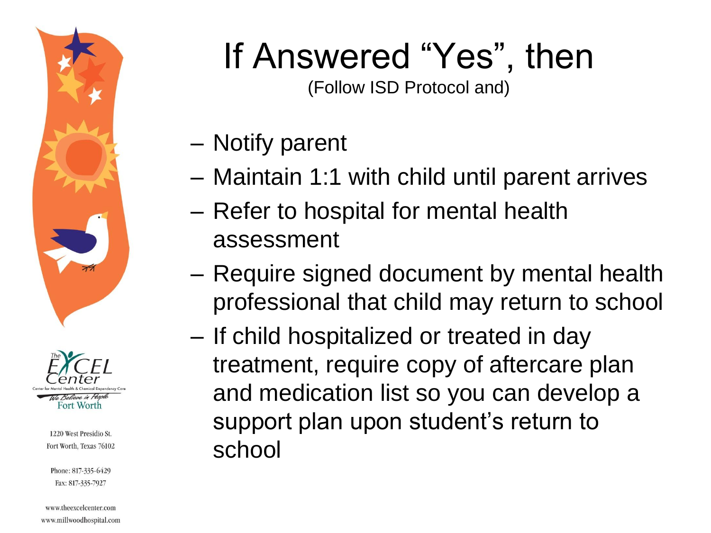



Phone: 817-335-6429 Fax: 817-335-7927

www.theexcelcenter.com www.millwoodhospital.com

### If Answered "Yes", then

(Follow ISD Protocol and)

- Notify parent
- Maintain 1:1 with child until parent arrives
- Refer to hospital for mental health assessment
- Require signed document by mental health professional that child may return to school
- If child hospitalized or treated in day treatment, require copy of aftercare plan and medication list so you can develop a support plan upon student's return to school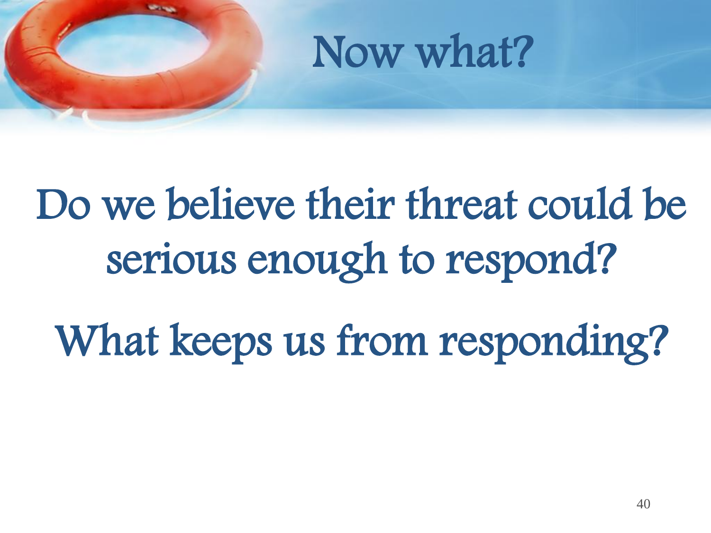

# Do we believe their threat could be serious enough to respond?

What keeps us from responding?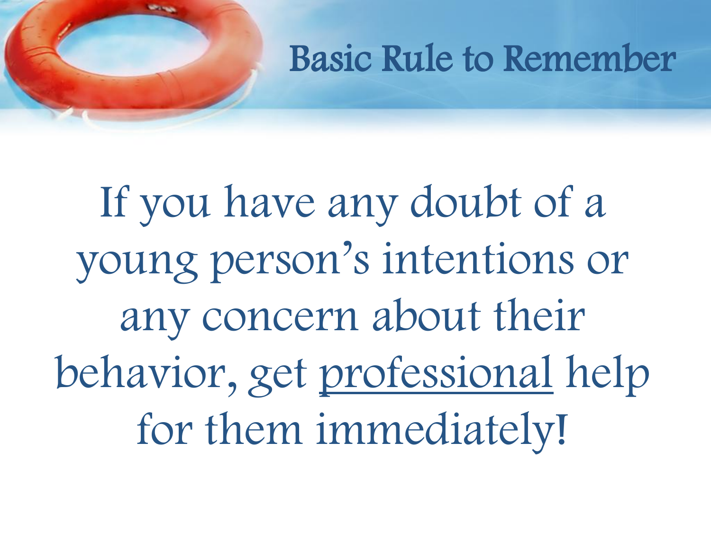#### Basic Rule to Remember

If you have any doubt of a young person's intentions or any concern about their behavior, get professional help for them immediately!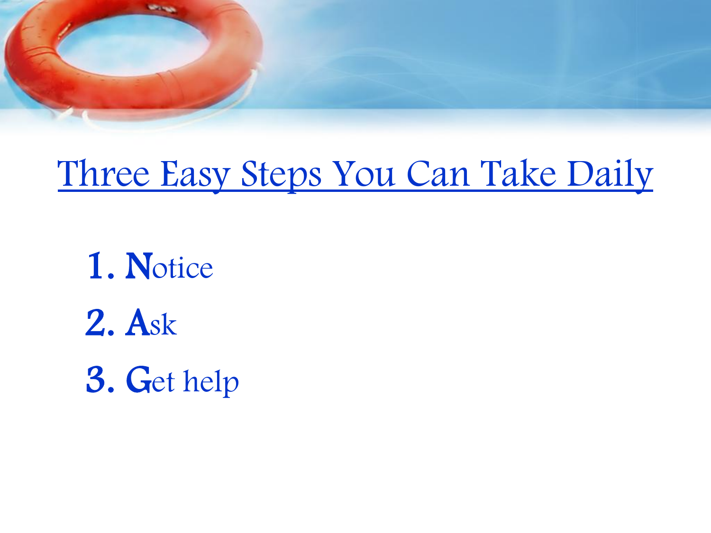

#### Three Easy Steps You Can Take Daily

1. Notice 2. Ask 3. Get help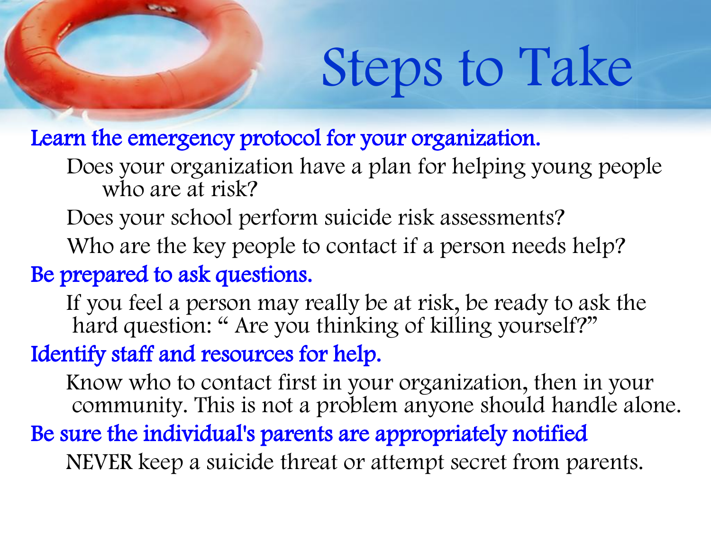# Steps to Take

Learn the emergency protocol for your organization.

Does your organization have a plan for helping young people who are at risk?

Does your school perform suicide risk assessments?

Who are the key people to contact if a person needs help?

Be prepared to ask questions.

If you feel a person may really be at risk, be ready to ask the hard question: "Are you thinking of killing yourself?"

Identify staff and resources for help.

Know who to contact first in your organization, then in your community. This is not a problem anyone should handle alone. Be sure the individual's parents are appropriately notified

NEVER keep a suicide threat or attempt secret from parents.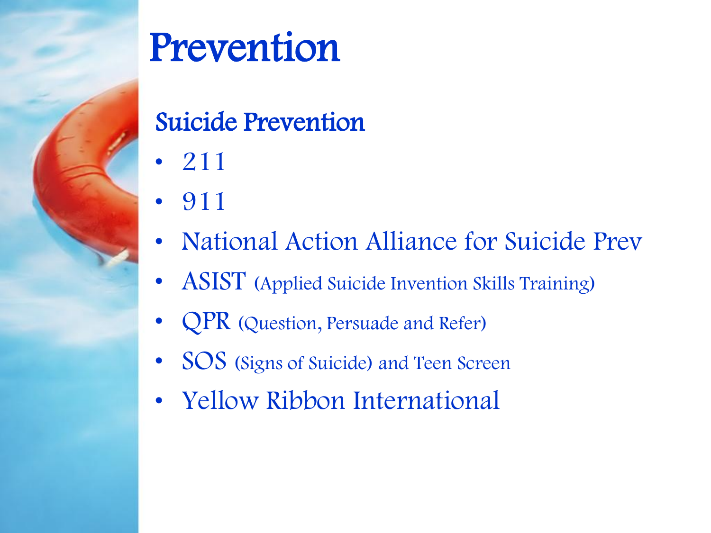

## Prevention

#### Suicide Prevention

- 211
- 911
- National Action Alliance for Suicide Prev
- **ASIST** (Applied Suicide Invention Skills Training)
- **QPR** (Question, Persuade and Refer)
- SOS (Signs of Suicide) and Teen Screen
- Yellow Ribbon International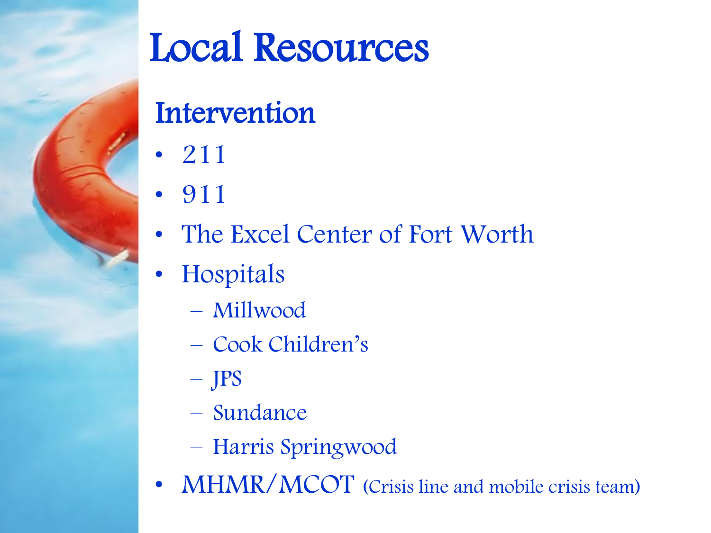

## Local Resources

#### **Intervention**

- 211
- 911
- The Excel Center of Fort Worth
- Hospitals
	- Millwood
	- Cook Children's
	- JPS
	- Sundance
	- Harris Springwood
- MHMR/MCOT (Crisis line and mobile crisis team)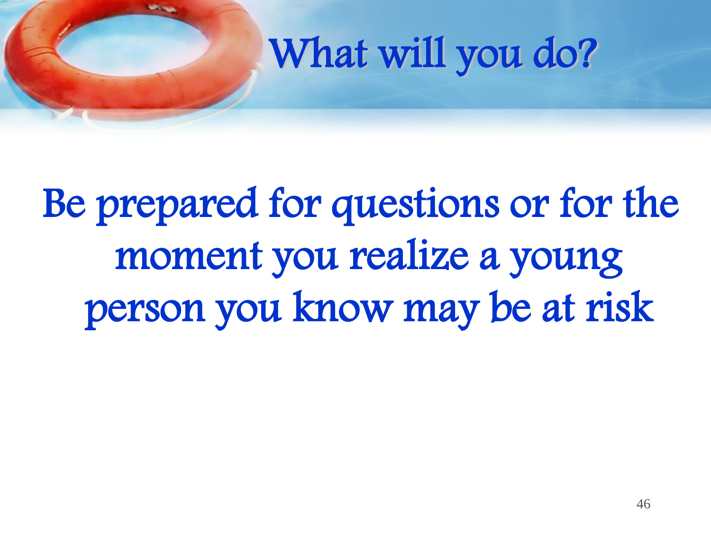## What will you do?

Be prepared for questions or for the moment you realize a young person you know may be at risk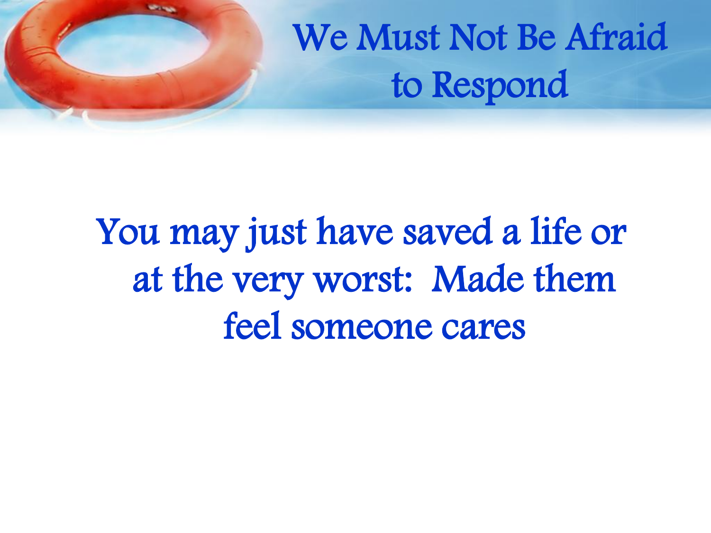## We Must Not Be Afraid to Respond

You may just have saved a life or at the very worst: Made them feel someone cares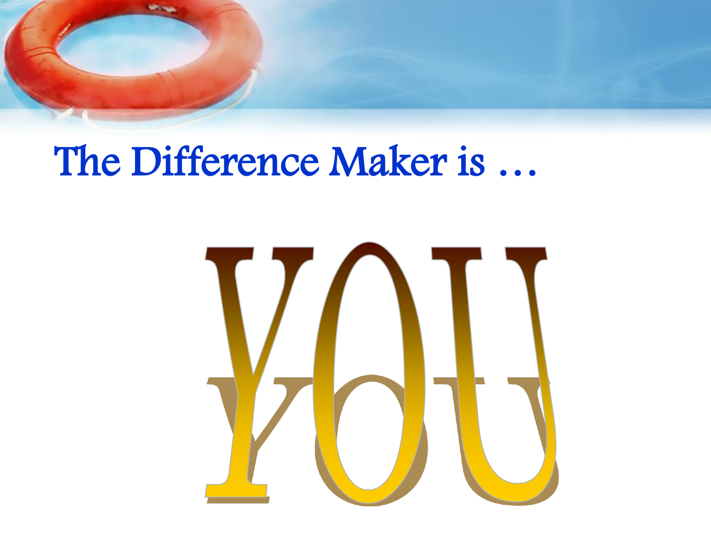

### The Difference Maker is …

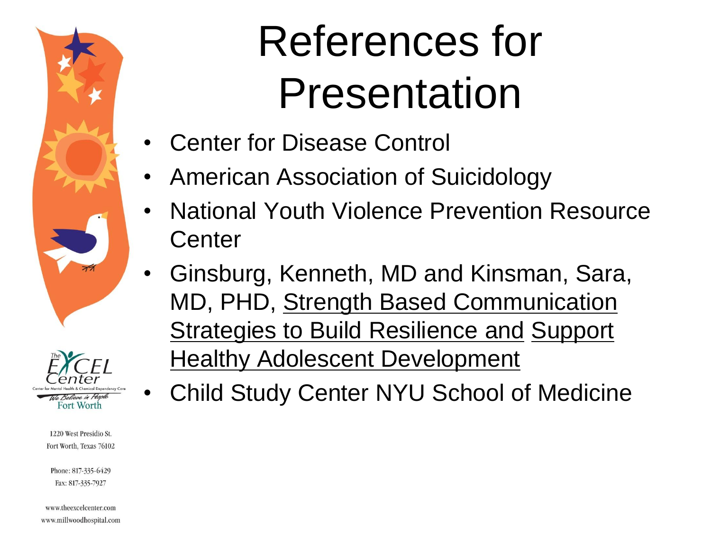



Phone: 817-335-6429 Fax: 817-335-7927

www.theexcelcenter.com www.millwoodhospital.com

# References for Presentation

- Center for Disease Control
- American Association of Suicidology
- National Youth Violence Prevention Resource **Center**
- Ginsburg, Kenneth, MD and Kinsman, Sara, MD, PHD, Strength Based Communication **Strategies to Build Resilience and Support Healthy Adolescent Development** 
	- Child Study Center NYU School of Medicine